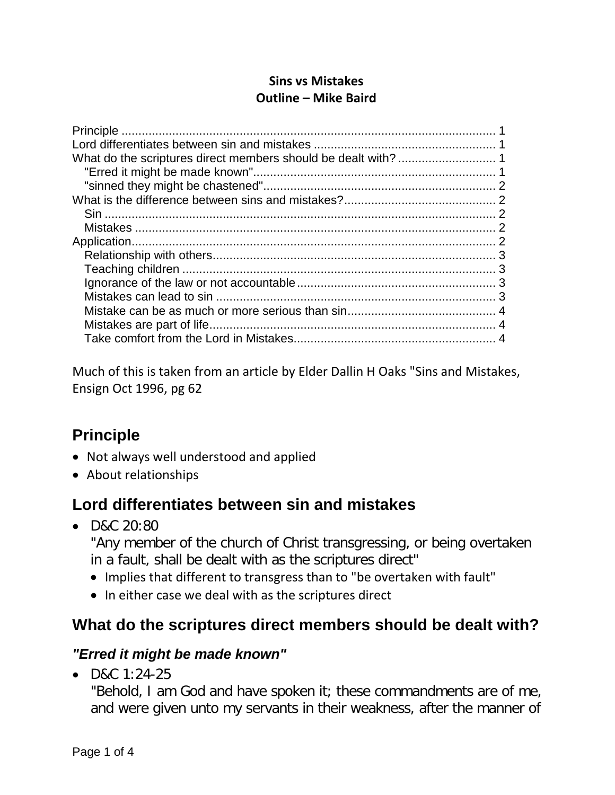### **Sins vs Mistakes Outline – Mike Baird**

Much of this is taken from an article by Elder Dallin H Oaks "Sins and Mistakes, Ensign Oct 1996, pg 62

# <span id="page-0-0"></span>**Principle**

- Not always well understood and applied
- About relationships

# <span id="page-0-1"></span>**Lord differentiates between sin and mistakes**

• D&C 20:80

"Any member of the church of Christ transgressing, or being overtaken in a fault, shall be dealt with as the scriptures direct"

- Implies that different to transgress than to "be overtaken with fault"
- In either case we deal with as the scriptures direct

# <span id="page-0-2"></span>**What do the scriptures direct members should be dealt with?**

### <span id="page-0-3"></span>*"Erred it might be made known"*

• D&C 1:24-25

"Behold, I am God and have spoken it; these commandments are of me, and were given unto my servants in their weakness, after the manner of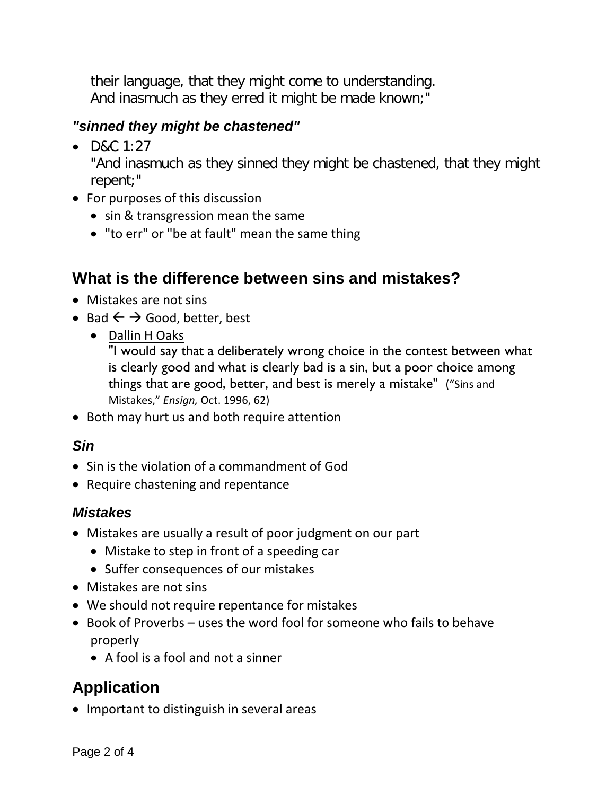their language, that they might come to understanding. And inasmuch as they erred it might be made known;"

## <span id="page-1-0"></span>*"sinned they might be chastened"*

•  $D&C$  1:27

"And inasmuch as they sinned they might be chastened, that they might repent;"

- For purposes of this discussion
	- sin & transgression mean the same
	- "to err" or "be at fault" mean the same thing

# <span id="page-1-1"></span>**What is the difference between sins and mistakes?**

- Mistakes are not sins
- Bad  $\leftarrow$   $\rightarrow$  Good, better, best
	- Dallin H Oaks

"I would say that a deliberately wrong choice in the contest between what is clearly good and what is clearly bad is a sin, but a poor choice among things that are good, better, and best is merely a mistake" ("Sins and Mistakes," *Ensign,* Oct. 1996, 62)

• Both may hurt us and both require attention

## <span id="page-1-2"></span>*Sin*

- Sin is the violation of a commandment of God
- Require chastening and repentance

## <span id="page-1-3"></span>*Mistakes*

- Mistakes are usually a result of poor judgment on our part
	- Mistake to step in front of a speeding car
	- Suffer consequences of our mistakes
- Mistakes are not sins
- We should not require repentance for mistakes
- Book of Proverbs uses the word fool for someone who fails to behave properly
	- A fool is a fool and not a sinner

# <span id="page-1-4"></span>**Application**

• Important to distinguish in several areas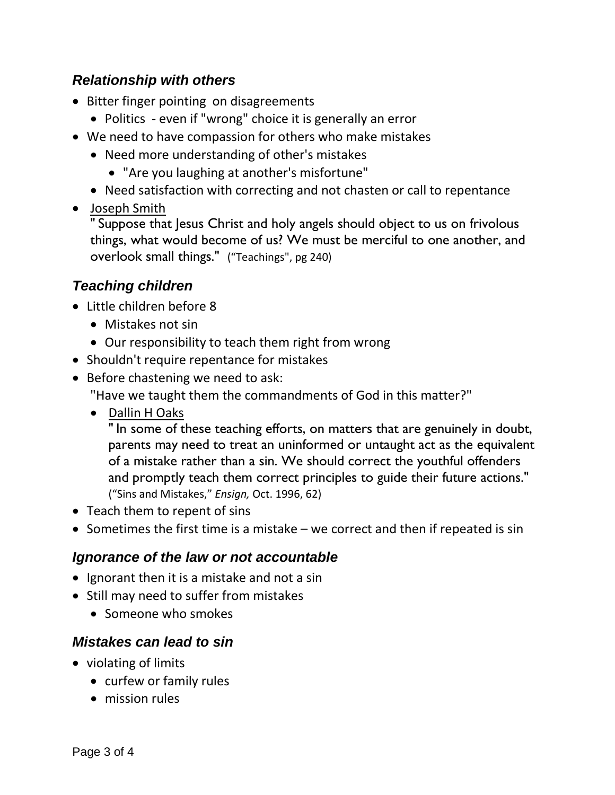### <span id="page-2-0"></span>*Relationship with others*

- Bitter finger pointing on disagreements
	- Politics even if "wrong" choice it is generally an error
- We need to have compassion for others who make mistakes
	- Need more understanding of other's mistakes
		- "Are you laughing at another's misfortune"
	- Need satisfaction with correcting and not chasten or call to repentance
- Joseph Smith

" Suppose that Jesus Christ and holy angels should object to us on frivolous things, what would become of us? We must be merciful to one another, and overlook small things." ("Teachings", pg 240)

## <span id="page-2-1"></span>*Teaching children*

- Little children before 8
	- Mistakes not sin
	- Our responsibility to teach them right from wrong
- Shouldn't require repentance for mistakes
- Before chastening we need to ask:
	- "Have we taught them the commandments of God in this matter?"
	- Dallin H Oaks

" In some of these teaching efforts, on matters that are genuinely in doubt, parents may need to treat an uninformed or untaught act as the equivalent of a mistake rather than a sin. We should correct the youthful offenders and promptly teach them correct principles to guide their future actions." ("Sins and Mistakes," *Ensign,* Oct. 1996, 62)

- Teach them to repent of sins
- Sometimes the first time is a mistake we correct and then if repeated is sin

## <span id="page-2-2"></span>*Ignorance of the law or not accountable*

- Ignorant then it is a mistake and not a sin
- Still may need to suffer from mistakes
	- Someone who smokes

## <span id="page-2-3"></span>*Mistakes can lead to sin*

- violating of limits
	- curfew or family rules
	- mission rules